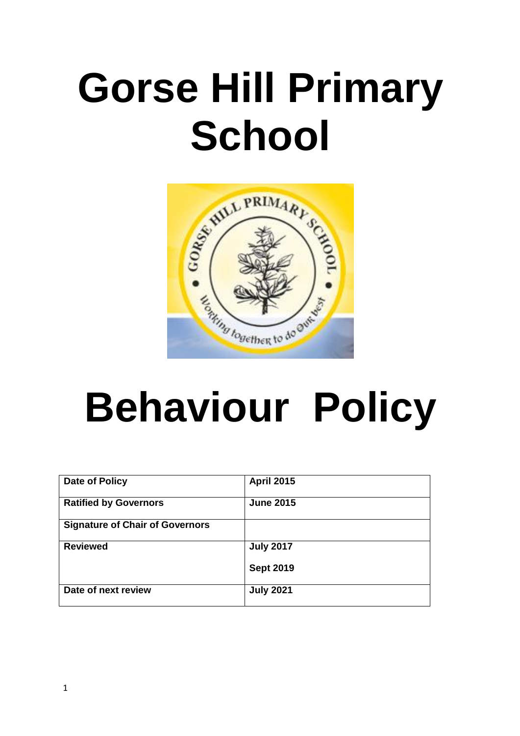# **Gorse Hill Primary School**



# **Behaviour Policy**

| Date of Policy                         | <b>April 2015</b> |
|----------------------------------------|-------------------|
| <b>Ratified by Governors</b>           | <b>June 2015</b>  |
| <b>Signature of Chair of Governors</b> |                   |
| <b>Reviewed</b>                        | <b>July 2017</b>  |
|                                        | <b>Sept 2019</b>  |
| Date of next review                    | <b>July 2021</b>  |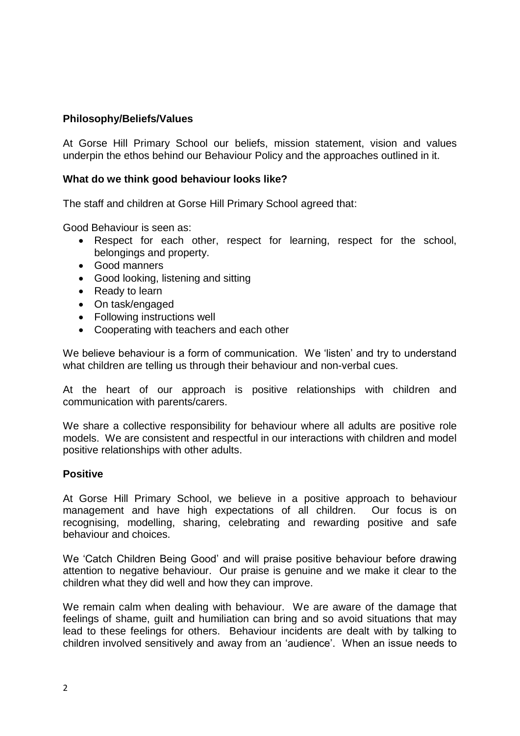# **Philosophy/Beliefs/Values**

At Gorse Hill Primary School our beliefs, mission statement, vision and values underpin the ethos behind our Behaviour Policy and the approaches outlined in it.

### **What do we think good behaviour looks like?**

The staff and children at Gorse Hill Primary School agreed that:

Good Behaviour is seen as:

- Respect for each other, respect for learning, respect for the school, belongings and property.
- Good manners
- Good looking, listening and sitting
- Ready to learn
- On task/engaged
- Following instructions well
- Cooperating with teachers and each other

We believe behaviour is a form of communication. We 'listen' and try to understand what children are telling us through their behaviour and non-verbal cues.

At the heart of our approach is positive relationships with children and communication with parents/carers.

We share a collective responsibility for behaviour where all adults are positive role models. We are consistent and respectful in our interactions with children and model positive relationships with other adults.

#### **Positive**

At Gorse Hill Primary School, we believe in a positive approach to behaviour management and have high expectations of all children. Our focus is on recognising, modelling, sharing, celebrating and rewarding positive and safe behaviour and choices.

We 'Catch Children Being Good' and will praise positive behaviour before drawing attention to negative behaviour. Our praise is genuine and we make it clear to the children what they did well and how they can improve.

We remain calm when dealing with behaviour. We are aware of the damage that feelings of shame, guilt and humiliation can bring and so avoid situations that may lead to these feelings for others. Behaviour incidents are dealt with by talking to children involved sensitively and away from an 'audience'. When an issue needs to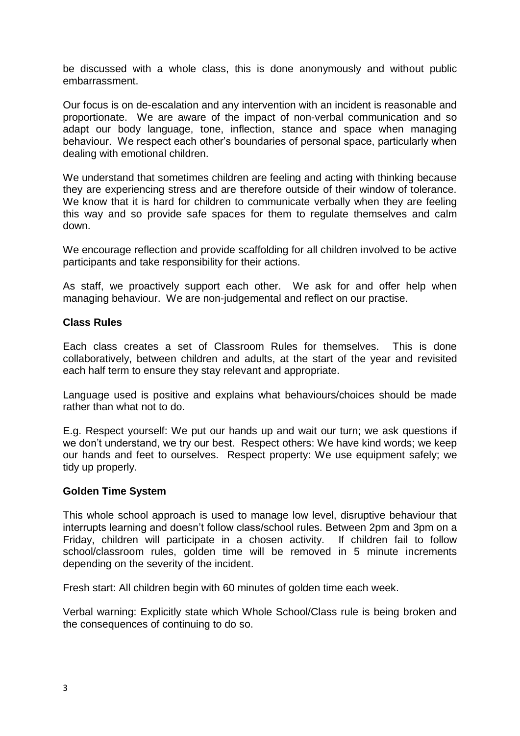be discussed with a whole class, this is done anonymously and without public embarrassment.

Our focus is on de-escalation and any intervention with an incident is reasonable and proportionate. We are aware of the impact of non-verbal communication and so adapt our body language, tone, inflection, stance and space when managing behaviour. We respect each other's boundaries of personal space, particularly when dealing with emotional children.

We understand that sometimes children are feeling and acting with thinking because they are experiencing stress and are therefore outside of their window of tolerance. We know that it is hard for children to communicate verbally when they are feeling this way and so provide safe spaces for them to regulate themselves and calm down.

We encourage reflection and provide scaffolding for all children involved to be active participants and take responsibility for their actions.

As staff, we proactively support each other. We ask for and offer help when managing behaviour. We are non-judgemental and reflect on our practise.

#### **Class Rules**

Each class creates a set of Classroom Rules for themselves. This is done collaboratively, between children and adults, at the start of the year and revisited each half term to ensure they stay relevant and appropriate.

Language used is positive and explains what behaviours/choices should be made rather than what not to do.

E.g. Respect yourself: We put our hands up and wait our turn; we ask questions if we don't understand, we try our best. Respect others: We have kind words; we keep our hands and feet to ourselves. Respect property: We use equipment safely; we tidy up properly.

#### **Golden Time System**

This whole school approach is used to manage low level, disruptive behaviour that interrupts learning and doesn't follow class/school rules. Between 2pm and 3pm on a Friday, children will participate in a chosen activity. If children fail to follow school/classroom rules, golden time will be removed in 5 minute increments depending on the severity of the incident.

Fresh start: All children begin with 60 minutes of golden time each week.

Verbal warning: Explicitly state which Whole School/Class rule is being broken and the consequences of continuing to do so.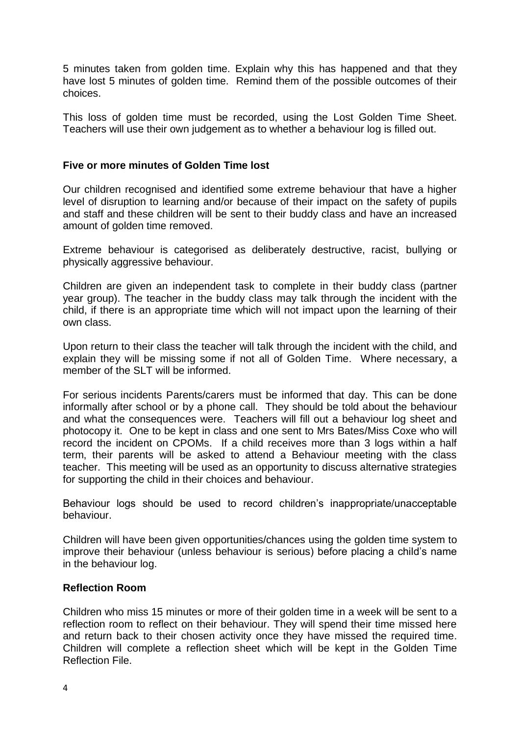5 minutes taken from golden time. Explain why this has happened and that they have lost 5 minutes of golden time. Remind them of the possible outcomes of their choices.

This loss of golden time must be recorded, using the Lost Golden Time Sheet. Teachers will use their own judgement as to whether a behaviour log is filled out.

#### **Five or more minutes of Golden Time lost**

Our children recognised and identified some extreme behaviour that have a higher level of disruption to learning and/or because of their impact on the safety of pupils and staff and these children will be sent to their buddy class and have an increased amount of golden time removed.

Extreme behaviour is categorised as deliberately destructive, racist, bullying or physically aggressive behaviour.

Children are given an independent task to complete in their buddy class (partner year group). The teacher in the buddy class may talk through the incident with the child, if there is an appropriate time which will not impact upon the learning of their own class.

Upon return to their class the teacher will talk through the incident with the child, and explain they will be missing some if not all of Golden Time. Where necessary, a member of the SLT will be informed.

For serious incidents Parents/carers must be informed that day. This can be done informally after school or by a phone call. They should be told about the behaviour and what the consequences were. Teachers will fill out a behaviour log sheet and photocopy it. One to be kept in class and one sent to Mrs Bates/Miss Coxe who will record the incident on CPOMs. If a child receives more than 3 logs within a half term, their parents will be asked to attend a Behaviour meeting with the class teacher. This meeting will be used as an opportunity to discuss alternative strategies for supporting the child in their choices and behaviour.

Behaviour logs should be used to record children's inappropriate/unacceptable behaviour.

Children will have been given opportunities/chances using the golden time system to improve their behaviour (unless behaviour is serious) before placing a child's name in the behaviour log.

### **Reflection Room**

Children who miss 15 minutes or more of their golden time in a week will be sent to a reflection room to reflect on their behaviour. They will spend their time missed here and return back to their chosen activity once they have missed the required time. Children will complete a reflection sheet which will be kept in the Golden Time Reflection File.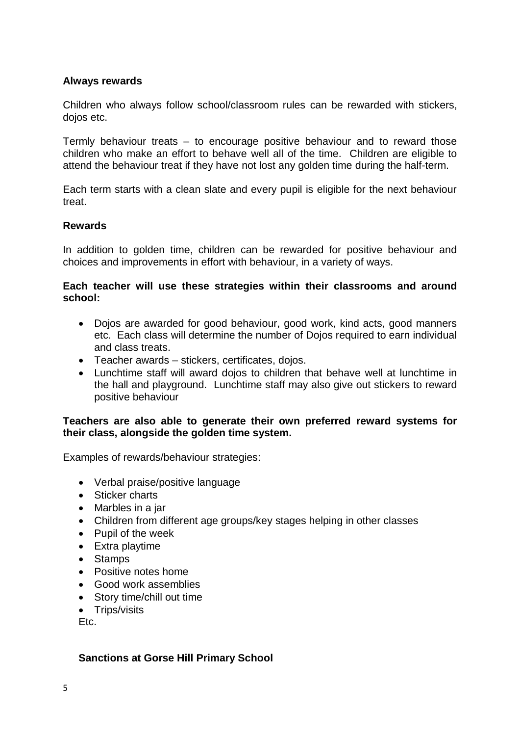### **Always rewards**

Children who always follow school/classroom rules can be rewarded with stickers, dojos etc.

Termly behaviour treats – to encourage positive behaviour and to reward those children who make an effort to behave well all of the time. Children are eligible to attend the behaviour treat if they have not lost any golden time during the half-term.

Each term starts with a clean slate and every pupil is eligible for the next behaviour treat.

#### **Rewards**

In addition to golden time, children can be rewarded for positive behaviour and choices and improvements in effort with behaviour, in a variety of ways.

#### **Each teacher will use these strategies within their classrooms and around school:**

- Dojos are awarded for good behaviour, good work, kind acts, good manners etc. Each class will determine the number of Dojos required to earn individual and class treats.
- Teacher awards stickers, certificates, dojos.
- Lunchtime staff will award dojos to children that behave well at lunchtime in the hall and playground. Lunchtime staff may also give out stickers to reward positive behaviour

#### **Teachers are also able to generate their own preferred reward systems for their class, alongside the golden time system.**

Examples of rewards/behaviour strategies:

- Verbal praise/positive language
- Sticker charts
- Marbles in a jar
- Children from different age groups/key stages helping in other classes
- Pupil of the week
- Extra playtime
- Stamps
- Positive notes home
- Good work assemblies
- Story time/chill out time
- Trips/visits

Etc.

#### **Sanctions at Gorse Hill Primary School**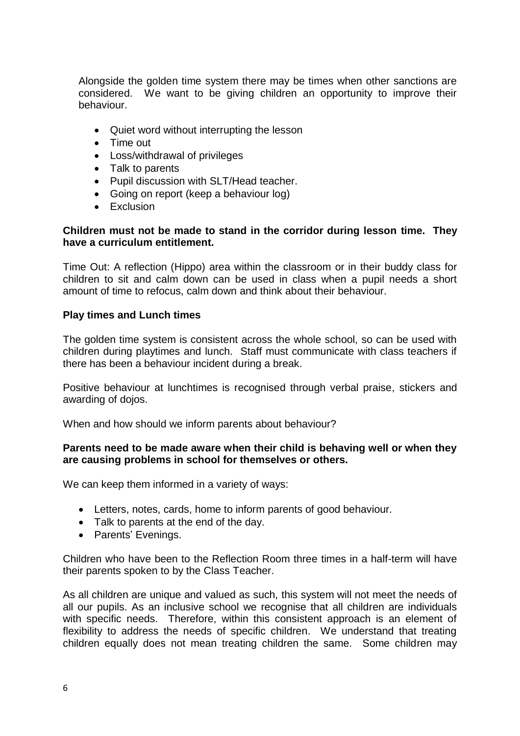Alongside the golden time system there may be times when other sanctions are considered. We want to be giving children an opportunity to improve their behaviour.

- Quiet word without interrupting the lesson
- Time out
- Loss/withdrawal of privileges
- Talk to parents
- Pupil discussion with SLT/Head teacher.
- Going on report (keep a behaviour log)
- $\bullet$  Fxclusion

## **Children must not be made to stand in the corridor during lesson time. They have a curriculum entitlement.**

Time Out: A reflection (Hippo) area within the classroom or in their buddy class for children to sit and calm down can be used in class when a pupil needs a short amount of time to refocus, calm down and think about their behaviour.

### **Play times and Lunch times**

The golden time system is consistent across the whole school, so can be used with children during playtimes and lunch. Staff must communicate with class teachers if there has been a behaviour incident during a break.

Positive behaviour at lunchtimes is recognised through verbal praise, stickers and awarding of dojos.

When and how should we inform parents about behaviour?

#### **Parents need to be made aware when their child is behaving well or when they are causing problems in school for themselves or others.**

We can keep them informed in a variety of ways:

- Letters, notes, cards, home to inform parents of good behaviour.
- Talk to parents at the end of the day.
- Parents' Evenings.

Children who have been to the Reflection Room three times in a half-term will have their parents spoken to by the Class Teacher.

As all children are unique and valued as such, this system will not meet the needs of all our pupils. As an inclusive school we recognise that all children are individuals with specific needs. Therefore, within this consistent approach is an element of flexibility to address the needs of specific children. We understand that treating children equally does not mean treating children the same. Some children may